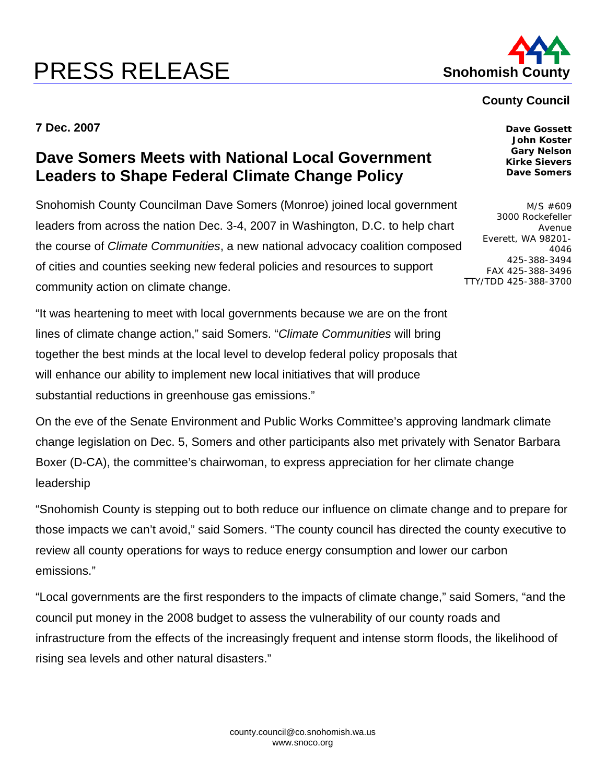## **PRESS RELEASE Shohomish County**



## **County Council**

**7 Dec. 2007** 

## **Dave Somers Meets with National Local Government Leaders to Shape Federal Climate Change Policy**

Snohomish County Councilman Dave Somers (Monroe) joined local government leaders from across the nation Dec. 3-4, 2007 in Washington, D.C. to help chart the course of *Climate Communities*, a new national advocacy coalition composed of cities and counties seeking new federal policies and resources to support community action on climate change.

"It was heartening to meet with local governments because we are on the front lines of climate change action," said Somers. "*Climate Communities* will bring together the best minds at the local level to develop federal policy proposals that will enhance our ability to implement new local initiatives that will produce substantial reductions in greenhouse gas emissions."

On the eve of the Senate Environment and Public Works Committee's approving landmark climate change legislation on Dec. 5, Somers and other participants also met privately with Senator Barbara Boxer (D-CA), the committee's chairwoman, to express appreciation for her climate change leadership

"Snohomish County is stepping out to both reduce our influence on climate change and to prepare for those impacts we can't avoid," said Somers. "The county council has directed the county executive to review all county operations for ways to reduce energy consumption and lower our carbon emissions."

"Local governments are the first responders to the impacts of climate change," said Somers, "and the council put money in the 2008 budget to assess the vulnerability of our county roads and infrastructure from the effects of the increasingly frequent and intense storm floods, the likelihood of rising sea levels and other natural disasters."

**Gary Nelson Kirke Sievers Dave Somers**  M/S #609

**Dave Gossett John Koster** 

3000 Rockefeller Avenue Everett, WA 98201- 4046 425-388-3494 FAX 425-388-3496 TTY/TDD 425-388-3700